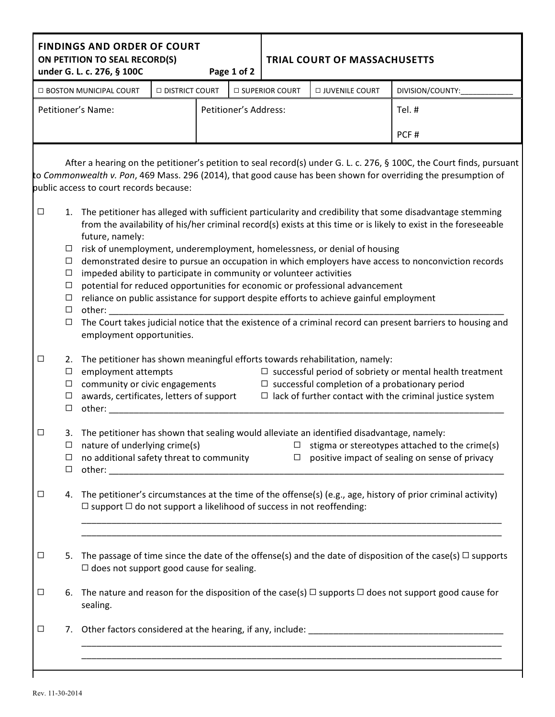|                    |                                                                    | <b>FINDINGS AND ORDER OF COURT</b><br>ON PETITION TO SEAL RECORD(S)<br>under G. L. c. 276, § 100C                                                                                                                                                                                                                                                                                                                                                                                                                                                                                                                                                                                                                                                                                                                                                                                                                                                                                                                                                                     |                       |                       | Page 1 of 2 | <b>TRIAL COURT OF MASSACHUSETTS</b> |                  |  |                                                                                                                                                                                                                                        |  |  |  |
|--------------------|--------------------------------------------------------------------|-----------------------------------------------------------------------------------------------------------------------------------------------------------------------------------------------------------------------------------------------------------------------------------------------------------------------------------------------------------------------------------------------------------------------------------------------------------------------------------------------------------------------------------------------------------------------------------------------------------------------------------------------------------------------------------------------------------------------------------------------------------------------------------------------------------------------------------------------------------------------------------------------------------------------------------------------------------------------------------------------------------------------------------------------------------------------|-----------------------|-----------------------|-------------|-------------------------------------|------------------|--|----------------------------------------------------------------------------------------------------------------------------------------------------------------------------------------------------------------------------------------|--|--|--|
|                    |                                                                    | □ BOSTON MUNICIPAL COURT                                                                                                                                                                                                                                                                                                                                                                                                                                                                                                                                                                                                                                                                                                                                                                                                                                                                                                                                                                                                                                              | <b>DISTRICT COURT</b> |                       |             | □ SUPERIOR COURT                    | □ JUVENILE COURT |  | DIVISION/COUNTY:                                                                                                                                                                                                                       |  |  |  |
| Petitioner's Name: |                                                                    |                                                                                                                                                                                                                                                                                                                                                                                                                                                                                                                                                                                                                                                                                                                                                                                                                                                                                                                                                                                                                                                                       |                       | Petitioner's Address: |             |                                     |                  |  | Tel. #                                                                                                                                                                                                                                 |  |  |  |
|                    |                                                                    |                                                                                                                                                                                                                                                                                                                                                                                                                                                                                                                                                                                                                                                                                                                                                                                                                                                                                                                                                                                                                                                                       |                       |                       |             |                                     |                  |  | PCF#                                                                                                                                                                                                                                   |  |  |  |
|                    |                                                                    | public access to court records because:                                                                                                                                                                                                                                                                                                                                                                                                                                                                                                                                                                                                                                                                                                                                                                                                                                                                                                                                                                                                                               |                       |                       |             |                                     |                  |  | After a hearing on the petitioner's petition to seal record(s) under G. L. c. 276, § 100C, the Court finds, pursuant<br>to Commonwealth v. Pon, 469 Mass. 296 (2014), that good cause has been shown for overriding the presumption of |  |  |  |
| $\Box$             | $\Box$<br>$\Box$<br>$\Box$<br>$\Box$<br>$\Box$<br>$\Box$<br>$\Box$ | 1. The petitioner has alleged with sufficient particularity and credibility that some disadvantage stemming<br>from the availability of his/her criminal record(s) exists at this time or is likely to exist in the foreseeable<br>future, namely:<br>risk of unemployment, underemployment, homelessness, or denial of housing<br>demonstrated desire to pursue an occupation in which employers have access to nonconviction records<br>impeded ability to participate in community or volunteer activities<br>potential for reduced opportunities for economic or professional advancement<br>reliance on public assistance for support despite efforts to achieve gainful employment<br>other: when the control of the control of the control of the control of the control of the control of the control of the control of the control of the control of the control of the control of the control of the control of<br>The Court takes judicial notice that the existence of a criminal record can present barriers to housing and<br>employment opportunities. |                       |                       |             |                                     |                  |  |                                                                                                                                                                                                                                        |  |  |  |
| $\Box$             | 2.<br>$\Box$<br>$\Box$<br>$\Box$<br>$\Box$                         | The petitioner has shown meaningful efforts towards rehabilitation, namely:<br>employment attempts<br>$\Box$ successful period of sobriety or mental health treatment<br>community or civic engagements<br>$\Box$ successful completion of a probationary period<br>awards, certificates, letters of support<br>$\Box$ lack of further contact with the criminal justice system<br>other: when the control of the control of the control of the control of the control of the control of the control of the control of the control of the control of the control of the control of the control of the control of                                                                                                                                                                                                                                                                                                                                                                                                                                                      |                       |                       |             |                                     |                  |  |                                                                                                                                                                                                                                        |  |  |  |
| ⊔                  | 3.<br>$\Box$<br>□<br>$\Box$                                        | The petitioner has shown that sealing would alleviate an identified disadvantage, namely:<br>nature of underlying crime(s)<br>stigma or stereotypes attached to the crime(s)<br>$\Box$<br>$\Box$ positive impact of sealing on sense of privacy<br>no additional safety threat to community                                                                                                                                                                                                                                                                                                                                                                                                                                                                                                                                                                                                                                                                                                                                                                           |                       |                       |             |                                     |                  |  |                                                                                                                                                                                                                                        |  |  |  |
| $\Box$             |                                                                    | 4. The petitioner's circumstances at the time of the offense(s) (e.g., age, history of prior criminal activity)<br>$\Box$ support $\Box$ do not support a likelihood of success in not reoffending:                                                                                                                                                                                                                                                                                                                                                                                                                                                                                                                                                                                                                                                                                                                                                                                                                                                                   |                       |                       |             |                                     |                  |  |                                                                                                                                                                                                                                        |  |  |  |
| $\Box$             |                                                                    | 5. The passage of time since the date of the offense(s) and the date of disposition of the case(s) $\Box$ supports<br>$\Box$ does not support good cause for sealing.                                                                                                                                                                                                                                                                                                                                                                                                                                                                                                                                                                                                                                                                                                                                                                                                                                                                                                 |                       |                       |             |                                     |                  |  |                                                                                                                                                                                                                                        |  |  |  |
| $\Box$             |                                                                    | 6. The nature and reason for the disposition of the case(s) $\Box$ supports $\Box$ does not support good cause for<br>sealing.                                                                                                                                                                                                                                                                                                                                                                                                                                                                                                                                                                                                                                                                                                                                                                                                                                                                                                                                        |                       |                       |             |                                     |                  |  |                                                                                                                                                                                                                                        |  |  |  |
| $\Box$             |                                                                    |                                                                                                                                                                                                                                                                                                                                                                                                                                                                                                                                                                                                                                                                                                                                                                                                                                                                                                                                                                                                                                                                       |                       |                       |             |                                     |                  |  |                                                                                                                                                                                                                                        |  |  |  |
|                    |                                                                    |                                                                                                                                                                                                                                                                                                                                                                                                                                                                                                                                                                                                                                                                                                                                                                                                                                                                                                                                                                                                                                                                       |                       |                       |             |                                     |                  |  |                                                                                                                                                                                                                                        |  |  |  |

Г